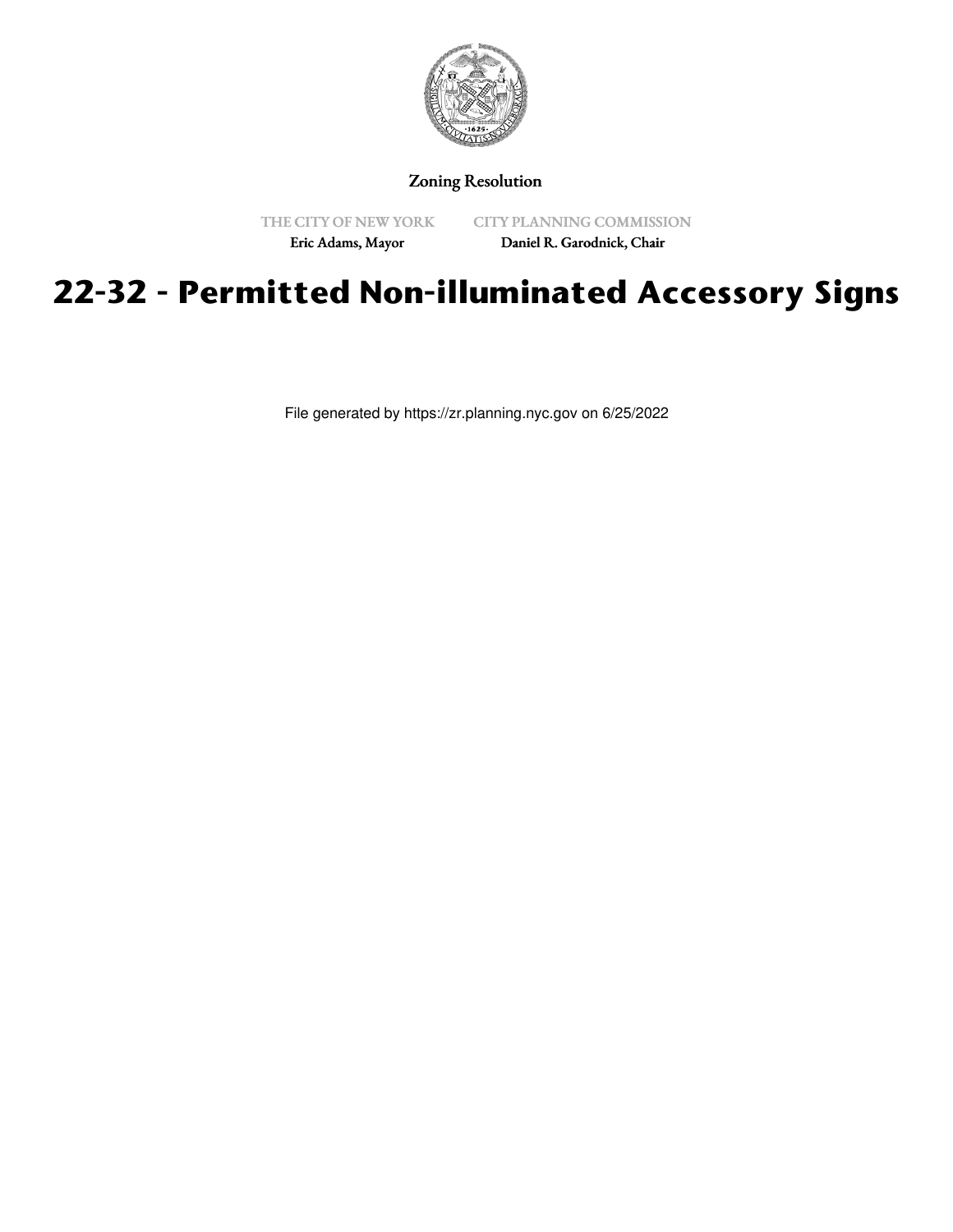

# Zoning Resolution

THE CITY OF NEW YORK Eric Adams, Mayor

CITY PLANNING COMMISSION

Daniel R. Garodnick, Chair

# **22-32 - Permitted Non-illuminated Accessory Signs**

File generated by https://zr.planning.nyc.gov on 6/25/2022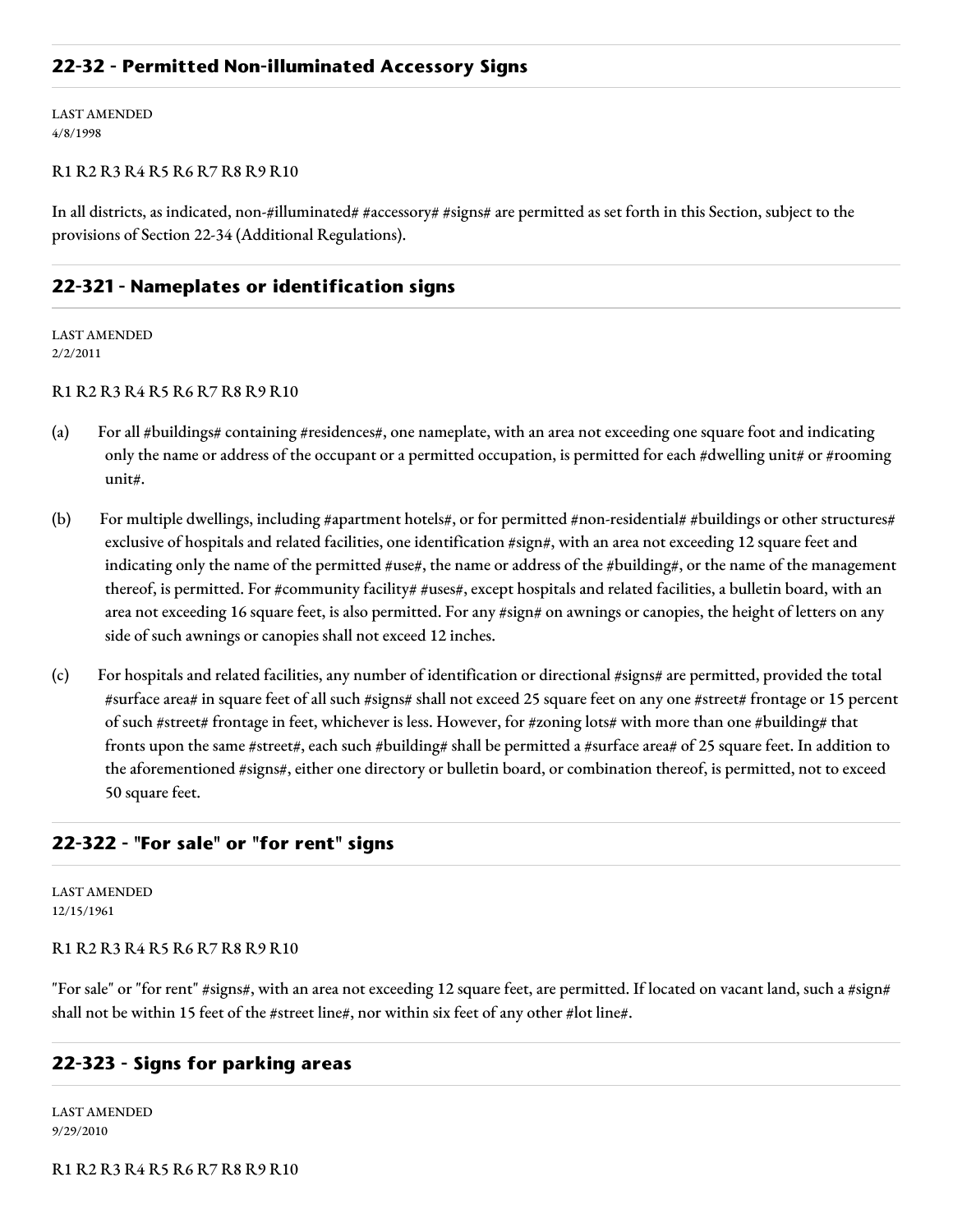## **22-32 - Permitted Non-illuminated Accessory Signs**

LAST AMENDED 4/8/1998

#### R1 R2 R3 R4 R5 R6 R7 R8 R9 R10

In all districts, as indicated, non-#illuminated# #accessory# #signs# are permitted as set forth in this Section, subject to the provisions of Section 22-34 (Additional Regulations).

## **22-321 - Nameplates or identification signs**

LAST AMENDED 2/2/2011

#### R1 R2 R3 R4 R5 R6 R7 R8 R9 R10

- (a) For all #buildings# containing #residences#, one nameplate, with an area not exceeding one square foot and indicating only the name or address of the occupant or a permitted occupation, is permitted for each #dwelling unit# or #rooming unit#.
- (b) For multiple dwellings, including #apartment hotels#, or for permitted #non-residential# #buildings or other structures# exclusive of hospitals and related facilities, one identification #sign#, with an area not exceeding 12 square feet and indicating only the name of the permitted #use#, the name or address of the #building#, or the name of the management thereof, is permitted. For #community facility# #uses#, except hospitals and related facilities, a bulletin board, with an area not exceeding 16 square feet, is also permitted. For any #sign# on awnings or canopies, the height of letters on any side of such awnings or canopies shall not exceed 12 inches.
- (c) For hospitals and related facilities, any number of identification or directional #signs# are permitted, provided the total #surface area# in square feet of all such #signs# shall not exceed 25 square feet on any one #street# frontage or 15 percent of such #street# frontage in feet, whichever is less. However, for #zoning lots# with more than one #building# that fronts upon the same #street#, each such #building# shall be permitted a #surface area# of 25 square feet. In addition to the aforementioned #signs#, either one directory or bulletin board, or combination thereof, is permitted, not to exceed 50 square feet.

## **22-322 - "For sale" or "for rent" signs**

LAST AMENDED 12/15/1961

#### R1 R2 R3 R4 R5 R6 R7 R8 R9 R10

"For sale" or "for rent" #signs#, with an area not exceeding 12 square feet, are permitted. If located on vacant land, such a #sign# shall not be within 15 feet of the #street line#, nor within six feet of any other #lot line#.

## **22-323 - Signs for parking areas**

LAST AMENDED 9/29/2010

R1 R2 R3 R4 R5 R6 R7 R8 R9 R10